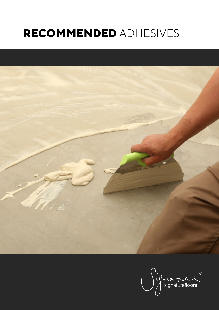# **RECOMMENDED** ADHESIVES



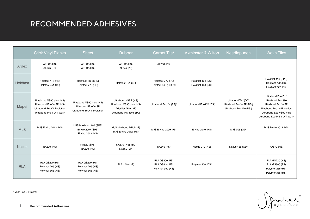## RECOMMENDED ADHESIVES

|              | <b>Stick Vinyl Planks</b>                                                                                    | <b>Sheet</b>                                                                | <b>Rubber</b>                                                                                  | Carpet Tile*                                                | <b>Axminster &amp; Wilton</b>            | Needlepunch                                                                | Wovn Tiles                                                                                                                                             |
|--------------|--------------------------------------------------------------------------------------------------------------|-----------------------------------------------------------------------------|------------------------------------------------------------------------------------------------|-------------------------------------------------------------|------------------------------------------|----------------------------------------------------------------------------|--------------------------------------------------------------------------------------------------------------------------------------------------------|
| Ardex        | AF172 (HS)<br>AF545 (TC)                                                                                     | AF172 (HS)<br>AF142 (HS)                                                    | AF172 (HS)<br>AF545 (2P)                                                                       | AF236 (PS)                                                  |                                          |                                                                            |                                                                                                                                                        |
| Holdfast     | Holdfast 416 (HS)<br>Holdfast 451 (TC)                                                                       | Holdfast 416 (SPS)<br>Holdfast 772 (HS)                                     | Holdfast 451 (2P)                                                                              | Holdfast 777 (PS)<br>Holdfast 640 (PS) roll                 | Holdfast 104 (DSI)<br>Holdfast 108 (DSI) |                                                                            | Holdfast 416 (SPS)<br>Holdfast 772 (HS)<br>Holdfast 777 (PS)                                                                                           |
| Mapei        | Ultrabond VS90 plus (HS)<br>Ultrabond Eco V4SP (HS)<br>Ultrabond EcoV4 Evolution<br>Ultrabond MS 4 LVT Wall* | Ultrabond VS90 plus (HS)<br>Ultrabond Eco V4SP<br>Ultrabond EcoV4 Evolution | Ultrabond V4SP (HS)<br>Ultrabond VS90 plus (HS)<br>Adesilex G19 (2P)<br>Ultrabond MS 4LVT (TC) | Ultrabond Eco fix (PS)*                                     | Ultrabond Eco170 (DSI)                   | Ultrabond Turf (OD)<br>Ultrabond Eco V4SP (DSI)<br>Ultrabond Eco 170 (DSI) | Ultrabond Eco Fix*<br>Ultrabond Eco 380<br>Ultrabond Eco V4SP<br>Ultrabond Eco V4 Evolution<br>Ultrabond Eco VS90 Plus<br>Ultrabond Eco MS 4 LVT Wall* |
| <b>MJS</b>   | MJS Enviro 2012 (HS)                                                                                         | MJS Maxbond 107 (SPS)<br>Enviro 2007 (SPS)<br>Enviro 2012 (HS)              | MJS Maxbond MPU (2P)<br>MJS Enviro 2012 (HS)                                                   | MJS Enviro 2009 (PS)                                        | Enviro 2010 (HS)                         | MJS 006 (OD)                                                               | MJS Enviro 2012 (HS)                                                                                                                                   |
| <b>Nexus</b> | <b>NA870 (HS)</b>                                                                                            | <b>NA820 (SPS)</b><br>NA870 (HS)                                            | NA870 (HS) TBC<br>NA560 (2P)                                                                   | NA840 (PS)                                                  | Nexus 910 (HS)                           | Nexus 485 (OD)                                                             | <b>NA870 (HS)</b>                                                                                                                                      |
| <b>RLA</b>   | <b>RLA GS220 (HS)</b><br>Polymer 265 (HS)<br>Polymer 365 (HS)                                                | <b>RLA GS220 (HS)</b><br>Polymer 265 (HS)<br>Polymer 365 (HS)               | RLA 1718 (2P)                                                                                  | <b>RLA GS300 (PS)</b><br>RLA GS444 (PS)<br>Polymer 999 (PS) | Polymer 300 (DSI)                        |                                                                            | <b>RLA GS220 (HS)</b><br><b>RLA GS300 (PS)</b><br>Polymer 265 (HS)<br>Polymer 365 (HS)                                                                 |

\*Must use U1 trowel

ignature de la décembre de la mercion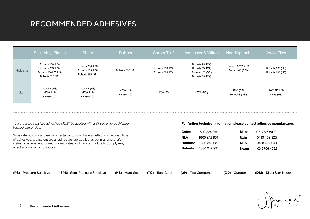## RECOMMENDED ADHESIVES

|         | <b>Stick Vinyl Planks</b>                                                       | <b>Sheet</b>                                             | <b>Rubber</b>                  | Carpet Tile*                         | <b>Axminster &amp; Wilton</b>                                                 | Needlepunch                               | Wovn Tiles                           |
|---------|---------------------------------------------------------------------------------|----------------------------------------------------------|--------------------------------|--------------------------------------|-------------------------------------------------------------------------------|-------------------------------------------|--------------------------------------|
| Roberts | Roberts 200 (HS)<br>Roberts 285 (HS)<br>Roberts 280 HT (HS)<br>Roberts 555 (2P) | Roberts 200 (HS)<br>Roberts 285 (HS)<br>Roberts 555 (2P) | Roberts 555 (2P)               | Roberts 656 (PS)<br>Roberts 585 (PS) | Roberts 95 (DSI)<br>Roberts 59 (DSI)<br>Roberts 100 (DSI)<br>Roberts 85 (DSI) | Roberts 6037 (OD)<br>Roberts 85 (DSI)     | Roberts 200 (HS)<br>Roberts 285 (HS) |
| Uzin    | 2000SE (HS)<br>KE66 (HS)<br>KR430 (TC)                                          | 2000SE (HS)<br>KE66 (HS)<br>KR430 (TC)                   | KE66 (HS)<br><b>KR430 (TC)</b> | U500 (PS)                            | <b>UZ57 (DSI)</b>                                                             | <b>UZ57 (DSI)</b><br><b>KE2000S (DSI)</b> | 2000SE (HS)<br>KE66 (HS)             |

*\* All pressure sensitive adhesives MUST be applied with a V1 trowel for cushioned backed carpet tiles.*

Substrate porosity and environmental factors will have an effect on the open time of adhesives, please ensure all adhesives are applied as per manufacturer's instructions, ensuring correct spread rates and transfer. Failure to comply may affect any warranty conditions.

#### **For further technical information please contact adhesive manufacturer.**

| Ardex          | 1800 224 070 | Mapei        | 07 3276 5000 |
|----------------|--------------|--------------|--------------|
| <b>RLA</b>     | 1800 242 931 | Uzin         | 0419 169 925 |
| Holdfast       | 1800 242 931 | MJS          | 0438 424 949 |
| <b>Roberts</b> | 1800 242 931 | <b>Nexus</b> | 03 9706 4022 |

**(PS)** Pressure Sensitive **(SPS)** Semi Pressure Sensitive **(HS)** Hard Set **(TC)** Total Cure **(2P)** Two Component **(OD)** Outdoor **(DSI)** Direct Stick Indoor